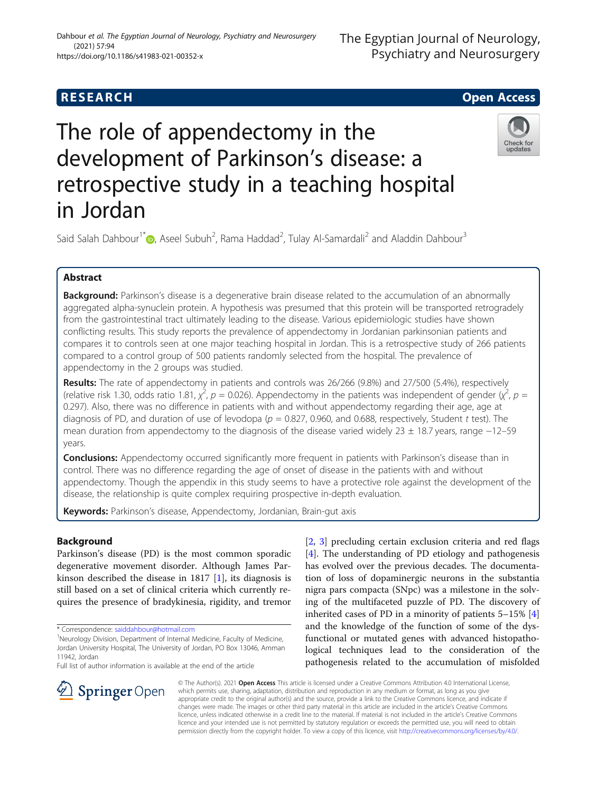# **RESEARCH CHE Open Access**

# The role of appendectomy in the development of Parkinson's disease: a retrospective study in a teaching hospital in Jordan



Said Salah Dahbour<sup>1\*</sup> (D), Aseel Subuh<sup>2</sup>, Rama Haddad<sup>2</sup>, Tulay Al-Samardali<sup>2</sup> and Aladdin Dahbour<sup>3</sup>

# Abstract

**Background:** Parkinson's disease is a degenerative brain disease related to the accumulation of an abnormally aggregated alpha-synuclein protein. A hypothesis was presumed that this protein will be transported retrogradely from the gastrointestinal tract ultimately leading to the disease. Various epidemiologic studies have shown conflicting results. This study reports the prevalence of appendectomy in Jordanian parkinsonian patients and compares it to controls seen at one major teaching hospital in Jordan. This is a retrospective study of 266 patients compared to a control group of 500 patients randomly selected from the hospital. The prevalence of appendectomy in the 2 groups was studied.

Results: The rate of appendectomy in patients and controls was 26/266 (9.8%) and 27/500 (5.4%), respectively (relative risk 1.30, odds ratio 1.81,  $\chi^2$ ,  $p = 0.026$ ). Appendectomy in the patients was independent of gender ( $\chi^2$ ,  $p =$ 0.297). Also, there was no difference in patients with and without appendectomy regarding their age, age at diagnosis of PD, and duration of use of levodopa ( $p = 0.827$ , 0.960, and 0.688, respectively, Student t test). The mean duration from appendectomy to the diagnosis of the disease varied widely 23 ± 18.7 years, range −12–59 years.

Conclusions: Appendectomy occurred significantly more frequent in patients with Parkinson's disease than in control. There was no difference regarding the age of onset of disease in the patients with and without appendectomy. Though the appendix in this study seems to have a protective role against the development of the disease, the relationship is quite complex requiring prospective in-depth evaluation.

Keywords: Parkinson's disease, Appendectomy, Jordanian, Brain-qut axis

## Background

Parkinson's disease (PD) is the most common sporadic degenerative movement disorder. Although James Parkinson described the disease in 1817 [\[1](#page-4-0)], its diagnosis is still based on a set of clinical criteria which currently requires the presence of bradykinesia, rigidity, and tremor

Full list of author information is available at the end of the article

[[2,](#page-4-0) [3\]](#page-4-0) precluding certain exclusion criteria and red flags [[4\]](#page-4-0). The understanding of PD etiology and pathogenesis has evolved over the previous decades. The documentation of loss of dopaminergic neurons in the substantia nigra pars compacta (SNpc) was a milestone in the solving of the multifaceted puzzle of PD. The discovery of inherited cases of PD in a minority of patients 5–15% [\[4](#page-4-0)] and the knowledge of the function of some of the dysfunctional or mutated genes with advanced histopathological techniques lead to the consideration of the pathogenesis related to the accumulation of misfolded



© The Author(s). 2021 Open Access This article is licensed under a Creative Commons Attribution 4.0 International License, which permits use, sharing, adaptation, distribution and reproduction in any medium or format, as long as you give appropriate credit to the original author(s) and the source, provide a link to the Creative Commons licence, and indicate if changes were made. The images or other third party material in this article are included in the article's Creative Commons licence, unless indicated otherwise in a credit line to the material. If material is not included in the article's Creative Commons licence and your intended use is not permitted by statutory regulation or exceeds the permitted use, you will need to obtain permission directly from the copyright holder. To view a copy of this licence, visit <http://creativecommons.org/licenses/by/4.0/>.

<sup>\*</sup> Correspondence: [saiddahbour@hotmail.com](mailto:saiddahbour@hotmail.com) <sup>1</sup>

<sup>&</sup>lt;sup>1</sup>Neurology Division, Department of Internal Medicine, Faculty of Medicine, Jordan University Hospital, The University of Jordan, PO Box 13046, Amman 11942, Jordan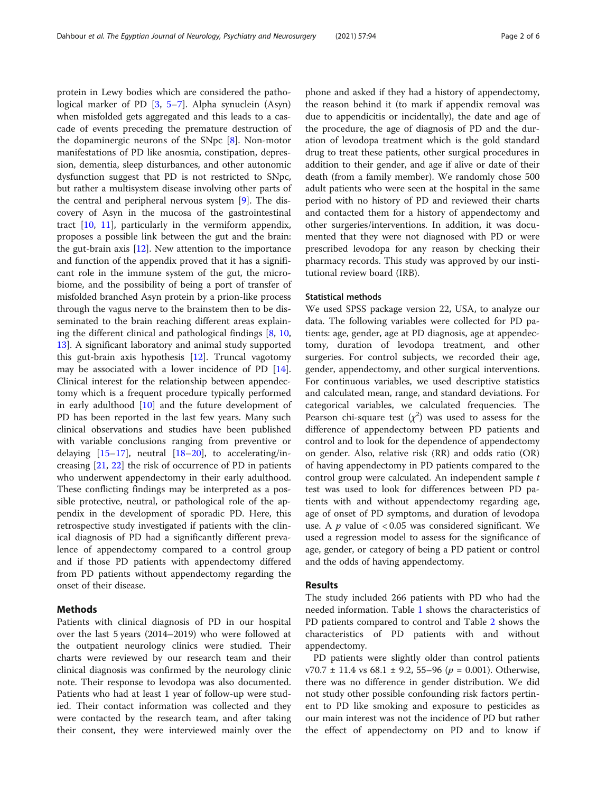protein in Lewy bodies which are considered the pathological marker of PD [\[3](#page-4-0), [5](#page-4-0)–[7\]](#page-4-0). Alpha synuclein (Asyn) when misfolded gets aggregated and this leads to a cascade of events preceding the premature destruction of the dopaminergic neurons of the SNpc [\[8](#page-4-0)]. Non-motor manifestations of PD like anosmia, constipation, depression, dementia, sleep disturbances, and other autonomic dysfunction suggest that PD is not restricted to SNpc, but rather a multisystem disease involving other parts of the central and peripheral nervous system [[9\]](#page-4-0). The discovery of Asyn in the mucosa of the gastrointestinal tract [[10](#page-4-0), [11](#page-4-0)], particularly in the vermiform appendix, proposes a possible link between the gut and the brain: the gut-brain axis [[12\]](#page-4-0). New attention to the importance and function of the appendix proved that it has a significant role in the immune system of the gut, the microbiome, and the possibility of being a port of transfer of misfolded branched Asyn protein by a prion-like process through the vagus nerve to the brainstem then to be disseminated to the brain reaching different areas explaining the different clinical and pathological findings [\[8](#page-4-0), [10](#page-4-0), [13\]](#page-4-0). A significant laboratory and animal study supported this gut-brain axis hypothesis [[12\]](#page-4-0). Truncal vagotomy may be associated with a lower incidence of PD  $[14]$  $[14]$ . Clinical interest for the relationship between appendectomy which is a frequent procedure typically performed in early adulthood [\[10\]](#page-4-0) and the future development of PD has been reported in the last few years. Many such clinical observations and studies have been published with variable conclusions ranging from preventive or delaying  $[15-17]$  $[15-17]$  $[15-17]$  $[15-17]$  $[15-17]$ , neutral  $[18-20]$  $[18-20]$  $[18-20]$ , to accelerating/increasing [\[21](#page-4-0), [22](#page-4-0)] the risk of occurrence of PD in patients who underwent appendectomy in their early adulthood. These conflicting findings may be interpreted as a possible protective, neutral, or pathological role of the appendix in the development of sporadic PD. Here, this retrospective study investigated if patients with the clinical diagnosis of PD had a significantly different prevalence of appendectomy compared to a control group and if those PD patients with appendectomy differed from PD patients without appendectomy regarding the onset of their disease.

### **Methods**

Patients with clinical diagnosis of PD in our hospital over the last 5 years (2014–2019) who were followed at the outpatient neurology clinics were studied. Their charts were reviewed by our research team and their clinical diagnosis was confirmed by the neurology clinic note. Their response to levodopa was also documented. Patients who had at least 1 year of follow-up were studied. Their contact information was collected and they were contacted by the research team, and after taking their consent, they were interviewed mainly over the

phone and asked if they had a history of appendectomy, the reason behind it (to mark if appendix removal was due to appendicitis or incidentally), the date and age of the procedure, the age of diagnosis of PD and the duration of levodopa treatment which is the gold standard drug to treat these patients, other surgical procedures in addition to their gender, and age if alive or date of their death (from a family member). We randomly chose 500 adult patients who were seen at the hospital in the same period with no history of PD and reviewed their charts and contacted them for a history of appendectomy and other surgeries/interventions. In addition, it was documented that they were not diagnosed with PD or were prescribed levodopa for any reason by checking their pharmacy records. This study was approved by our institutional review board (IRB).

#### Statistical methods

We used SPSS package version 22, USA, to analyze our data. The following variables were collected for PD patients: age, gender, age at PD diagnosis, age at appendectomy, duration of levodopa treatment, and other surgeries. For control subjects, we recorded their age, gender, appendectomy, and other surgical interventions. For continuous variables, we used descriptive statistics and calculated mean, range, and standard deviations. For categorical variables, we calculated frequencies. The Pearson chi-square test  $(\chi^2)$  was used to assess for the difference of appendectomy between PD patients and control and to look for the dependence of appendectomy on gender. Also, relative risk (RR) and odds ratio (OR) of having appendectomy in PD patients compared to the control group were calculated. An independent sample t test was used to look for differences between PD patients with and without appendectomy regarding age, age of onset of PD symptoms, and duration of levodopa use. A  $p$  value of < 0.05 was considered significant. We used a regression model to assess for the significance of age, gender, or category of being a PD patient or control and the odds of having appendectomy.

#### Results

The study included 266 patients with PD who had the needed information. Table [1](#page-2-0) shows the characteristics of PD patients compared to control and Table [2](#page-2-0) shows the characteristics of PD patients with and without appendectomy.

PD patients were slightly older than control patients  $v70.7 \pm 11.4$  vs 68.1  $\pm$  9.2, 55–96 ( $p = 0.001$ ). Otherwise, there was no difference in gender distribution. We did not study other possible confounding risk factors pertinent to PD like smoking and exposure to pesticides as our main interest was not the incidence of PD but rather the effect of appendectomy on PD and to know if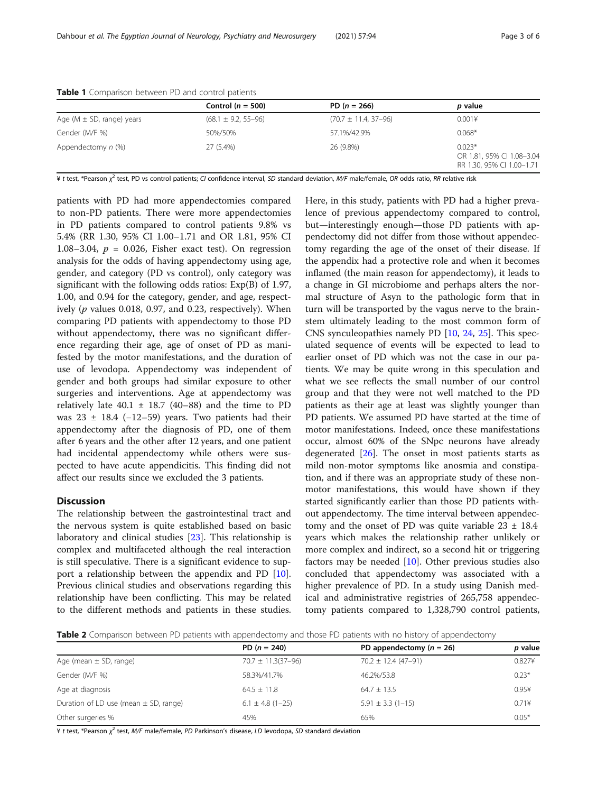|                                 | Control ( $n = 500$ )     | PD $(n = 266)$             | <i>p</i> value                                                     |
|---------------------------------|---------------------------|----------------------------|--------------------------------------------------------------------|
| Age ( $M \pm SD$ , range) years | $(68.1 \pm 9.2, 55 - 96)$ | $(70.7 \pm 11.4, 37 - 96)$ | 0.0014                                                             |
| Gender (M/F %)                  | 50%/50%                   | 57.1%/42.9%                | $0.068*$                                                           |
| Appendectomy n (%)              | 27 (5.4%)                 | 26 (9.8%)                  | $0.023*$<br>OR 1.81, 95% CI 1.08-3.04<br>RR 1.30, 95% CI 1.00-1.71 |

<span id="page-2-0"></span>Table 1 Comparison between PD and control patients

¥ t test, \*Pearson  $\chi^2$  test, PD vs control patients; CI confidence interval, SD standard deviation, M/F male/female, OR odds ratio, RR relative risk

patients with PD had more appendectomies compared to non-PD patients. There were more appendectomies in PD patients compared to control patients 9.8% vs 5.4% (RR 1.30, 95% CI 1.00–1.71 and OR 1.81, 95% CI 1.08–3.04,  $p = 0.026$ , Fisher exact test). On regression analysis for the odds of having appendectomy using age, gender, and category (PD vs control), only category was significant with the following odds ratios: Exp(B) of 1.97, 1.00, and 0.94 for the category, gender, and age, respectively ( $p$  values 0.018, 0.97, and 0.23, respectively). When comparing PD patients with appendectomy to those PD without appendectomy, there was no significant difference regarding their age, age of onset of PD as manifested by the motor manifestations, and the duration of use of levodopa. Appendectomy was independent of gender and both groups had similar exposure to other surgeries and interventions. Age at appendectomy was relatively late  $40.1 \pm 18.7$  (40-88) and the time to PD was  $23 \pm 18.4$  (-12–59) years. Two patients had their appendectomy after the diagnosis of PD, one of them after 6 years and the other after 12 years, and one patient had incidental appendectomy while others were suspected to have acute appendicitis. This finding did not affect our results since we excluded the 3 patients.

#### **Discussion**

The relationship between the gastrointestinal tract and the nervous system is quite established based on basic laboratory and clinical studies [\[23](#page-4-0)]. This relationship is complex and multifaceted although the real interaction is still speculative. There is a significant evidence to support a relationship between the appendix and PD [\[10](#page-4-0)]. Previous clinical studies and observations regarding this relationship have been conflicting. This may be related to the different methods and patients in these studies.

Here, in this study, patients with PD had a higher prevalence of previous appendectomy compared to control, but—interestingly enough—those PD patients with appendectomy did not differ from those without appendectomy regarding the age of the onset of their disease. If the appendix had a protective role and when it becomes inflamed (the main reason for appendectomy), it leads to a change in GI microbiome and perhaps alters the normal structure of Asyn to the pathologic form that in turn will be transported by the vagus nerve to the brainstem ultimately leading to the most common form of CNS synculeopathies namely PD [[10](#page-4-0), [24,](#page-4-0) [25\]](#page-4-0). This speculated sequence of events will be expected to lead to earlier onset of PD which was not the case in our patients. We may be quite wrong in this speculation and what we see reflects the small number of our control group and that they were not well matched to the PD patients as their age at least was slightly younger than PD patients. We assumed PD have started at the time of motor manifestations. Indeed, once these manifestations occur, almost 60% of the SNpc neurons have already degenerated  $[26]$  $[26]$ . The onset in most patients starts as mild non-motor symptoms like anosmia and constipation, and if there was an appropriate study of these nonmotor manifestations, this would have shown if they started significantly earlier than those PD patients without appendectomy. The time interval between appendectomy and the onset of PD was quite variable  $23 \pm 18.4$ years which makes the relationship rather unlikely or more complex and indirect, so a second hit or triggering factors may be needed  $[10]$  $[10]$ . Other previous studies also concluded that appendectomy was associated with a higher prevalence of PD. In a study using Danish medical and administrative registries of 265,758 appendectomy patients compared to 1,328,790 control patients,

Table 2 Comparison between PD patients with appendectomy and those PD patients with no history of appendectomy

|                                           | PD $(n = 240)$           | PD appendectomy $(n = 26)$ | p value |
|-------------------------------------------|--------------------------|----------------------------|---------|
| Age (mean $\pm$ SD, range)                | $70.7 \pm 11.3(37 - 96)$ | $70.2 \pm 12.4 (47 - 91)$  | 0.827¥  |
| Gender (M/F %)                            | 58.3%/41.7%              | 46.2%/53.8                 | $0.23*$ |
| Age at diagnosis                          | $64.5 \pm 11.8$          | $64.7 \pm 13.5$            | 0.954   |
| Duration of LD use (mean $\pm$ SD, range) | $6.1 \pm 4.8$ (1-25)     | $5.91 \pm 3.3$ (1-15)      | 0.714   |
| Other surgeries %                         | 45%                      | 65%                        | $0.05*$ |

¥ t test, \*Pearson  $\chi^2$  test, *M/F* male/female, *PD* Parkinson's disease, LD levodopa, SD standard deviation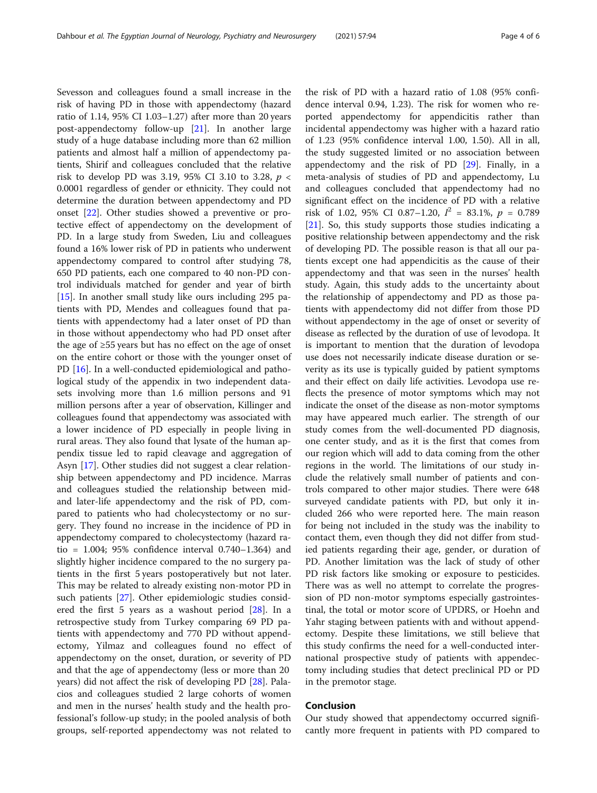Sevesson and colleagues found a small increase in the risk of having PD in those with appendectomy (hazard ratio of 1.14, 95% CI 1.03–1.27) after more than 20 years post-appendectomy follow-up [[21\]](#page-4-0). In another large study of a huge database including more than 62 million patients and almost half a million of appendectomy patients, Shirif and colleagues concluded that the relative risk to develop PD was 3.19, 95% CI 3.10 to 3.28,  $p <$ 0.0001 regardless of gender or ethnicity. They could not determine the duration between appendectomy and PD onset [\[22](#page-4-0)]. Other studies showed a preventive or protective effect of appendectomy on the development of PD. In a large study from Sweden, Liu and colleagues found a 16% lower risk of PD in patients who underwent appendectomy compared to control after studying 78, 650 PD patients, each one compared to 40 non-PD control individuals matched for gender and year of birth [[15\]](#page-4-0). In another small study like ours including 295 patients with PD, Mendes and colleagues found that patients with appendectomy had a later onset of PD than in those without appendectomy who had PD onset after the age of ≥55 years but has no effect on the age of onset on the entire cohort or those with the younger onset of PD [[16](#page-4-0)]. In a well-conducted epidemiological and pathological study of the appendix in two independent datasets involving more than 1.6 million persons and 91 million persons after a year of observation, Killinger and colleagues found that appendectomy was associated with a lower incidence of PD especially in people living in rural areas. They also found that lysate of the human appendix tissue led to rapid cleavage and aggregation of Asyn [\[17](#page-4-0)]. Other studies did not suggest a clear relationship between appendectomy and PD incidence. Marras and colleagues studied the relationship between midand later-life appendectomy and the risk of PD, compared to patients who had cholecystectomy or no surgery. They found no increase in the incidence of PD in appendectomy compared to cholecystectomy (hazard ratio = 1.004; 95% confidence interval 0.740–1.364) and slightly higher incidence compared to the no surgery patients in the first 5 years postoperatively but not later. This may be related to already existing non-motor PD in such patients [\[27\]](#page-5-0). Other epidemiologic studies considered the first 5 years as a washout period  $[28]$  $[28]$ . In a retrospective study from Turkey comparing 69 PD patients with appendectomy and 770 PD without appendectomy, Yilmaz and colleagues found no effect of appendectomy on the onset, duration, or severity of PD and that the age of appendectomy (less or more than 20 years) did not affect the risk of developing PD [[28\]](#page-5-0). Palacios and colleagues studied 2 large cohorts of women and men in the nurses' health study and the health professional's follow-up study; in the pooled analysis of both groups, self-reported appendectomy was not related to

the risk of PD with a hazard ratio of 1.08 (95% confidence interval 0.94, 1.23). The risk for women who reported appendectomy for appendicitis rather than incidental appendectomy was higher with a hazard ratio of 1.23 (95% confidence interval 1.00, 1.50). All in all, the study suggested limited or no association between appendectomy and the risk of PD [[29\]](#page-5-0). Finally, in a meta-analysis of studies of PD and appendectomy, Lu and colleagues concluded that appendectomy had no significant effect on the incidence of PD with a relative risk of 1.02, 95% CI 0.87-1.20,  $I^2 = 83.1\%$ ,  $p = 0.789$ [[21\]](#page-4-0). So, this study supports those studies indicating a positive relationship between appendectomy and the risk of developing PD. The possible reason is that all our patients except one had appendicitis as the cause of their appendectomy and that was seen in the nurses' health study. Again, this study adds to the uncertainty about the relationship of appendectomy and PD as those patients with appendectomy did not differ from those PD without appendectomy in the age of onset or severity of disease as reflected by the duration of use of levodopa. It is important to mention that the duration of levodopa use does not necessarily indicate disease duration or severity as its use is typically guided by patient symptoms and their effect on daily life activities. Levodopa use reflects the presence of motor symptoms which may not indicate the onset of the disease as non-motor symptoms may have appeared much earlier. The strength of our study comes from the well-documented PD diagnosis, one center study, and as it is the first that comes from our region which will add to data coming from the other regions in the world. The limitations of our study include the relatively small number of patients and controls compared to other major studies. There were 648 surveyed candidate patients with PD, but only it included 266 who were reported here. The main reason for being not included in the study was the inability to contact them, even though they did not differ from studied patients regarding their age, gender, or duration of PD. Another limitation was the lack of study of other PD risk factors like smoking or exposure to pesticides. There was as well no attempt to correlate the progression of PD non-motor symptoms especially gastrointestinal, the total or motor score of UPDRS, or Hoehn and Yahr staging between patients with and without appendectomy. Despite these limitations, we still believe that this study confirms the need for a well-conducted international prospective study of patients with appendectomy including studies that detect preclinical PD or PD in the premotor stage.

#### Conclusion

Our study showed that appendectomy occurred significantly more frequent in patients with PD compared to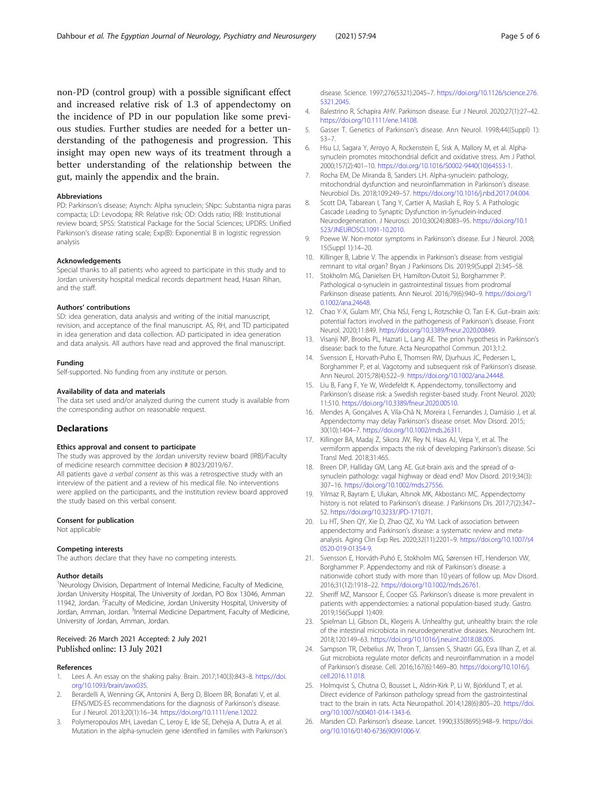<span id="page-4-0"></span>non-PD (control group) with a possible significant effect and increased relative risk of 1.3 of appendectomy on the incidence of PD in our population like some previous studies. Further studies are needed for a better understanding of the pathogenesis and progression. This insight may open new ways of its treatment through a better understanding of the relationship between the gut, mainly the appendix and the brain.

#### Abbreviations

PD: Parkinson's disease; Asynch: Alpha synuclein; SNpc: Substantia nigra paras compacta; LD: Levodopa; RR: Relative risk; OD: Odds ratio; IRB: Institutional review board; SPSS: Statistical Package for the Social Sciences; UPDRS: Unified Parkinson's disease rating scale; Exp(B): Exponential B in logistic regression analysis

#### Acknowledgements

Special thanks to all patients who agreed to participate in this study and to Jordan university hospital medical records department head, Hasan Rihan, and the staff.

#### Authors' contributions

SD: idea generation, data analysis and writing of the initial manuscript, revision, and acceptance of the final manuscript. AS, RH, and TD participated in idea generation and data collection. AD participated in idea generation and data analysis. All authors have read and approved the final manuscript.

#### Funding

Self-supported. No funding from any institute or person.

#### Availability of data and materials

The data set used and/or analyzed during the current study is available from the corresponding author on reasonable request.

#### Declarations

#### Ethics approval and consent to participate

The study was approved by the Jordan university review board (IRB)/Faculty of medicine research committee decision # 8023/2019/67. All patients gave a verbal consent as this was a retrospective study with an

interview of the patient and a review of his medical file. No interventions were applied on the participants, and the institution review board approved the study based on this verbal consent.

#### Consent for publication

Not applicable

#### Competing interests

The authors declare that they have no competing interests.

#### Author details

<sup>1</sup>Neurology Division, Department of Internal Medicine, Faculty of Medicine, Jordan University Hospital, The University of Jordan, PO Box 13046, Amman 11942, Jordan. <sup>2</sup> Faculty of Medicine, Jordan University Hospital, University of Jordan, Amman, Jordan. <sup>3</sup>Internal Medicine Department, Faculty of Medicine, University of Jordan, Amman, Jordan.

#### Received: 26 March 2021 Accepted: 2 July 2021 Published online: 13 July 2021

#### References

- 1. Lees A. An essay on the shaking palsy. Brain. 2017;140(3):843–8. [https://doi.](https://doi.org/10.1093/brain/awx035) [org/10.1093/brain/awx035](https://doi.org/10.1093/brain/awx035).
- 2. Berardelli A, Wenning GK, Antonini A, Berg D, Bloem BR, Bonafati V, et al. EFNS/MDS-ES recommendations for the diagnosis of Parkinson's disease. Eur J Neurol. 2013;20(1):16–34. <https://doi.org/10.1111/ene.12022>.
- Polymeropoulos MH, Lavedan C, Leroy E, Ide SE, Dehejia A, Dutra A, et al. Mutation in the alpha-synuclein gene identified in families with Parkinson's

disease. Science. 1997;276(5321):2045–7. [https://doi.org/10.1126/science.276.](https://doi.org/10.1126/science.276.5321.2045) [5321.2045](https://doi.org/10.1126/science.276.5321.2045).

- 4. Balestrino R, Schapira AHV. Parkinson disease. Eur J Neurol. 2020;27(1):27–42. [https://doi.org/10.1111/ene.14108.](https://doi.org/10.1111/ene.14108)
- 5. Gasser T. Genetics of Parkinson's disease. Ann Neurol. 1998;44((Suppl) 1): 53–7.
- 6. Hsu LJ, Sagara Y, Arroyo A, Rockenstein E, Sisk A, Mallory M, et al. Alphasynuclein promotes mitochondrial deficit and oxidative stress. Am J Pathol. 2000;157(2):401–10. [https://doi.org/10.1016/S0002-9440\(10\)64553-1](https://doi.org/10.1016/S0002-9440(10)64553-1).
- 7. Rocha EM, De Miranda B, Sanders LH. Alpha-synuclein: pathology, mitochondrial dysfunction and neuroinflammation in Parkinson's disease. Neurobiol Dis. 2018;109:249–57. [https://doi.org/10.1016/j.nbd.2017.04.004.](https://doi.org/10.1016/j.nbd.2017.04.004)
- 8. Scott DA, Tabarean I, Tang Y, Cartier A, Masliah E, Roy S. A Pathologic Cascade Leading to Synaptic Dysfunction in-Synuclein-Induced Neurodegeneration. J Neurosci. 2010;30(24):8083–95. [https://doi.org/10.1](https://doi.org/10.1523/JNEUROSCI.1091-10.2010) [523/JNEUROSCI.1091-10.2010.](https://doi.org/10.1523/JNEUROSCI.1091-10.2010)
- 9. Poewe W. Non-motor symptoms in Parkinson's disease. Eur J Neurol. 2008; 15(Suppl 1):14–20.
- 10. Killinger B, Labrie V. The appendix in Parkinson's disease: from vestigial remnant to vital organ? Bryan J Parkinsons Dis. 2019;9(Suppl 2):345–58.
- 11. Stokholm MG, Danielsen EH, Hamilton-Dutoit SJ, Borghammer P. Pathological α-synuclein in gastrointestinal tissues from prodromal Parkinson disease patients. Ann Neurol. 2016;79(6):940–9. [https://doi.org/1](https://doi.org/10.1002/ana.24648) [0.1002/ana.24648.](https://doi.org/10.1002/ana.24648)
- 12. Chao Y-X, Gulam MY, Chia NSJ, Feng L, Rotzschke O, Tan E-K. Gut–brain axis: potential factors involved in the pathogenesis of Parkinson's disease. Front Neurol. 2020;11:849. [https://doi.org/10.3389/fneur.2020.00849.](https://doi.org/10.3389/fneur.2020.00849)
- 13. Visanji NP, Brooks PL, Hazrati L, Lang AE. The prion hypothesis in Parkinson's disease: back to the future. Acta Neuropathol Commun. 2013;1:2.
- 14. Svensson E, Horvath-Puho E, Thomsen RW, Djurhuus JC, Pedersen L, Borghammer P, et al. Vagotomy and subsequent risk of Parkinson's disease. Ann Neurol. 2015;78(4):522–9. <https://doi.org/10.1002/ana.24448>.
- 15. Liu B, Fang F, Ye W, Wirdefeldt K. Appendectomy, tonsillectomy and Parkinson's disease risk: a Swedish register-based study. Front Neurol. 2020; 11:510. <https://doi.org/10.3389/fneur.2020.00510>.
- 16. Mendes A, Gonçalves A, Vila-Chã N, Moreira I, Fernandes J, Damásio J, et al. Appendectomy may delay Parkinson's disease onset. Mov Disord. 2015; 30(10):1404–7. [https://doi.org/10.1002/mds.26311.](https://doi.org/10.1002/mds.26311)
- 17. Killinger BA, Madaj Z, Sikora JW, Rey N, Haas AJ, Vepa Y, et al. The vermiform appendix impacts the risk of developing Parkinson's disease. Sci Transl Med. 2018;31:465.
- 18. Breen DP, Halliday GM, Lang AE. Gut-brain axis and the spread of αsynuclein pathology: vagal highway or dead end? Mov Disord. 2019;34(3): 307–16. <https://doi.org/10.1002/mds.27556>.
- 19. Yilmaz R, Bayram E, Ulukan, Altınok MK, Akbostancı MC. Appendectomy history is not related to Parkinson's disease. J Parkinsons Dis. 2017;7(2):347– 52. <https://doi.org/10.3233/JPD-171071>.
- 20. Lu HT, Shen QY, Xie D, Zhao QZ, Xu YM. Lack of association between appendectomy and Parkinson's disease: a systematic review and metaanalysis. Aging Clin Exp Res. 2020;32(11):2201–9. [https://doi.org/10.1007/s4](https://doi.org/10.1007/s40520-019-01354-9) [0520-019-01354-9](https://doi.org/10.1007/s40520-019-01354-9).
- 21. Svensson E, Horváth-Puhó E, Stokholm MG, Sørensen HT, Henderson VW, Borghammer P. Appendectomy and risk of Parkinson's disease: a nationwide cohort study with more than 10 years of follow up. Mov Disord. 2016;31(12):1918–22. <https://doi.org/10.1002/mds.26761>.
- 22. Sheriff MZ, Mansoor E, Cooper GS. Parkinson's disease is more prevalent in patients with appendectomies: a national population-based study. Gastro. 2019;156(Suppl 1):409.
- 23. Spielman LJ, Gibson DL, Klegeris A. Unhealthy gut, unhealthy brain: the role of the intestinal microbiota in neurodegenerative diseases. Neurochem Int. 2018;120:149–63. <https://doi.org/10.1016/j.neuint.2018.08.005>.
- 24. Sampson TR, Debelius JW, Thron T, Janssen S, Shastri GG, Esra Ilhan Z, et al. Gut microbiota regulate motor deficits and neuroinflammation in a model of Parkinson's disease. Cell. 2016;167(6):1469–80. [https://doi.org/10.1016/j.](https://doi.org/10.1016/j.cell.2016.11.018) [cell.2016.11.018.](https://doi.org/10.1016/j.cell.2016.11.018)
- 25. Holmqvist S, Chutna O, Bousset L, Aldrin-Kirk P, Li W, Björklund T, et al. Direct evidence of Parkinson pathology spread from the gastrointestinal tract to the brain in rats. Acta Neuropathol. 2014;128(6):805–20. [https://doi.](https://doi.org/10.1007/s00401-014-1343-6) [org/10.1007/s00401-014-1343-6](https://doi.org/10.1007/s00401-014-1343-6).
- 26. Marsden CD. Parkinson's disease. Lancet. 1990;335(8695):948–9. [https://doi.](https://doi.org/10.1016/0140-6736(90)91006-V) [org/10.1016/0140-6736\(90\)91006-V.](https://doi.org/10.1016/0140-6736(90)91006-V)